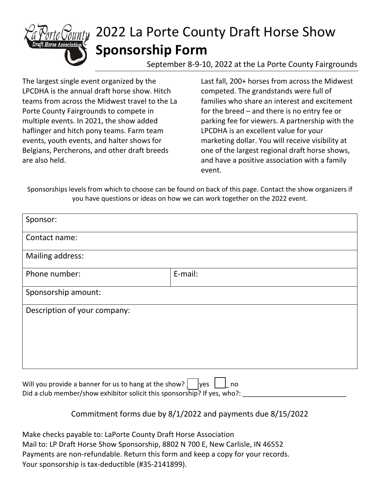

# 2022 La Porte County Draft Horse Show **Sponsorship Form**

September 8-9-10, 2022 at the La Porte County Fairgrounds

The largest single event organized by the LPCDHA is the annual draft horse show. Hitch teams from across the Midwest travel to the La Porte County Fairgrounds to compete in multiple events. In 2021, the show added haflinger and hitch pony teams. Farm team events, youth events, and halter shows for Belgians, Percherons, and other draft breeds are also held.

Last fall, 200+ horses from across the Midwest competed. The grandstands were full of families who share an interest and excitement for the breed – and there is no entry fee or parking fee for viewers. A partnership with the LPCDHA is an excellent value for your marketing dollar. You will receive visibility at one of the largest regional draft horse shows, and have a positive association with a family event.

Sponsorships levels from which to choose can be found on back of this page. Contact the show organizers if you have questions or ideas on how we can work together on the 2022 event.

| Sponsor:                                                              |         |
|-----------------------------------------------------------------------|---------|
| Contact name:                                                         |         |
| Mailing address:                                                      |         |
| Phone number:                                                         | E-mail: |
| Sponsorship amount:                                                   |         |
| Description of your company:                                          |         |
| Will you provide a banner for us to hang at the show? ]<br>lyes<br>no |         |

Did a club member/show exhibitor solicit this sponsorship? If yes, who?:

Commitment forms due by 8/1/2022 and payments due 8/15/2022

Make checks payable to: LaPorte County Draft Horse Association Mail to: LP Draft Horse Show Sponsorship, 8802 N 700 E, New Carlisle, IN 46552 Payments are non-refundable. Return this form and keep a copy for your records. Your sponsorship is tax-deductible (#35-2141899).